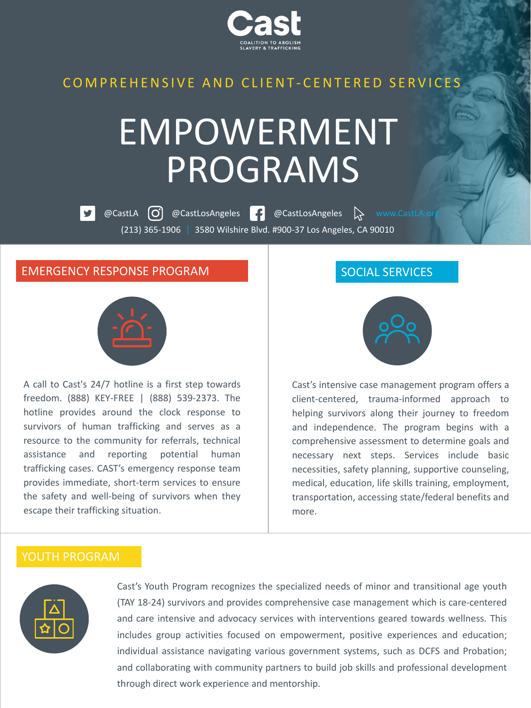

# COMPREHENSIVE AND CLIENT-CENTERED SERVICES

# EMPOWERMENT PROGRAMS

**@CastLA O** @CastLosAngeles **P** @CastLosAngeles **C** www.CastLA.org (213) 365-1906 3580 Wilshire Blvd. #900-37 Los Angeles, CA 90010

#### EMERGENCY RESPONSE PROGRAM



A call to Cast's 24/7 hotline is a first step towards freedom. (888) KEY-FREE | (888) 539-2373. The hotline provides around the clock response to survivors of human trafficking and serves as a resource to the community for referrals, technical assistance and reporting potential human trafficking cases. CAST's emergency response team provides immediate, short-term services to ensure the safety and well-being of survivors when they escape their trafficking situation.

### SOCIAL SERVICES



Cast's intensive case management program offers a client-centered, trauma-informed approach to helping survivors along their journey to freedom and independence. The program begins with a comprehensive assessment to determine goals and necessary next steps. Services include basic necessities, safety planning, supportive counseling, medical, education, life skills training, employment, transportation, accessing state/federal benefits and more.

### YOUTH PROGRAM



Cast's Youth Program recognizes the specialized needs of minor and transitional age youth (TAY 18-24) survivors and provides comprehensive case management which is care-centered and care intensive and advocacy services with interventions geared towards wellness. This includes group activities focused on empowerment, positive experiences and education; individual assistance navigating various government systems, such as DCFS and Probation; and collaborating with community partners to build job skills and professional development through direct work experience and mentorship.